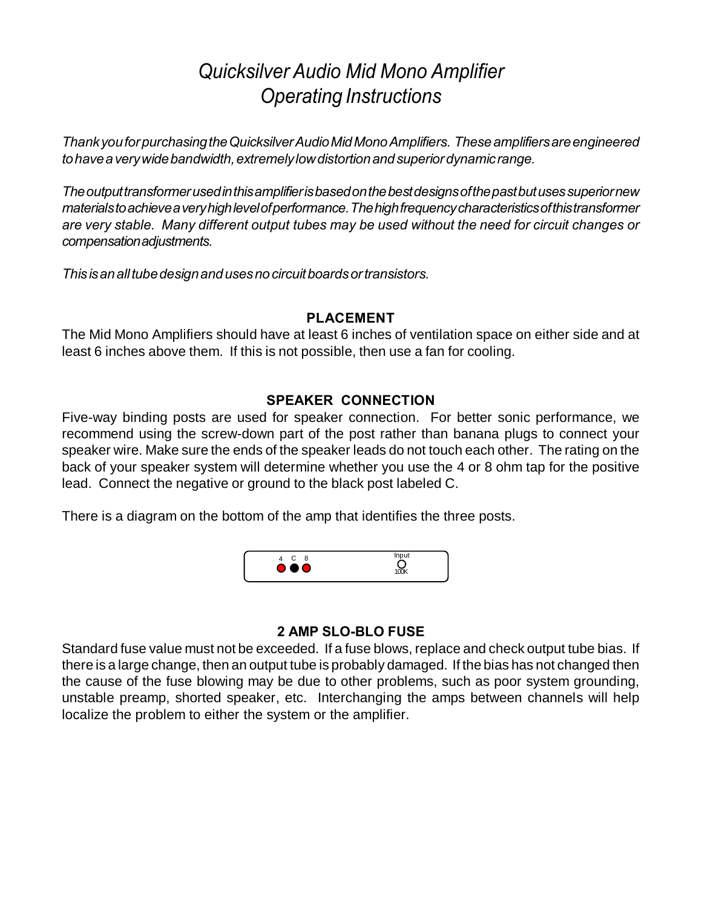# *Quicksilver Audio Mid Mono Amplifier Operating Instructions*

*Thank you for purchasing the Quicksilver Audio Mid Mono Amplifiers. These amplifiers are engineered to have a very wide bandwidth, extremely low distortion and superior dynamic range.*

*The output transformer used in this amplifier is based on the best designs of the past but uses superior new materials to achieve a very high level of performance. The high frequency characteristics of this transformer are very stable. Many different output tubes may be used without the need for circuit changes or compensation adjustments.*

*This is an all tube design and uses no circuit boards or transistors.*

#### **PLACEMENT**

The Mid Mono Amplifiers should have at least 6 inches of ventilation space on either side and at least 6 inches above them. If this is not possible, then use a fan for cooling.

## **SPEAKER CONNECTION**

Five-way binding posts are used for speaker connection. For better sonic performance, we recommend using the screw-down part of the post rather than banana plugs to connect your speaker wire. Make sure the ends of the speaker leads do not touch each other. The rating on the back of your speaker system will determine whether you use the 4 or 8 ohm tap for the positive lead. Connect the negative or ground to the black post labeled C.

There is a diagram on the bottom of the amp that identifies the three posts.



## **2 AMP SLO-BLO FUSE**

Standard fuse value must not be exceeded. If a fuse blows, replace and check output tube bias. If there is a large change, then an output tube is probably damaged. If the bias has not changed then the cause of the fuse blowing may be due to other problems, such as poor system grounding, unstable preamp, shorted speaker, etc. Interchanging the amps between channels will help localize the problem to either the system or the amplifier.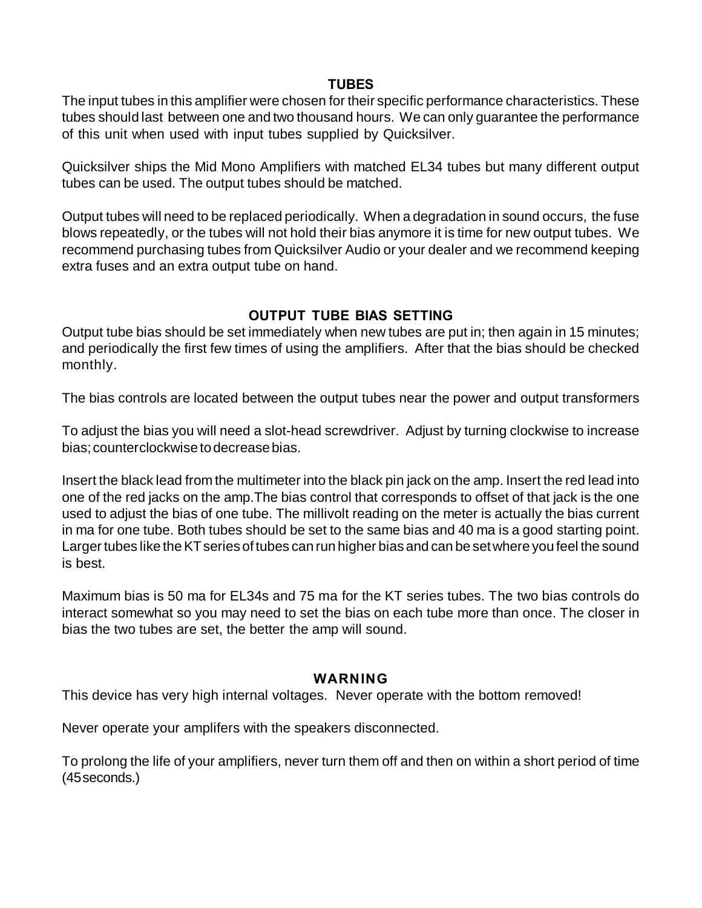#### **TUBES**

The input tubes in this amplifier were chosen for their specific performance characteristics. These tubes should last between one and two thousand hours. We can only guarantee the performance of this unit when used with input tubes supplied by Quicksilver.

Quicksilver ships the Mid Mono Amplifiers with matched EL34 tubes but many different output tubes can be used. The output tubes should be matched.

Output tubes will need to be replaced periodically. When a degradation in sound occurs, the fuse blows repeatedly, or the tubes will not hold their bias anymore it is time for new output tubes. We recommend purchasing tubes from Quicksilver Audio or your dealer and we recommend keeping extra fuses and an extra output tube on hand.

# **OUTPUT TUBE BIAS SETTING**

Output tube bias should be set immediately when new tubes are put in; then again in 15 minutes; and periodically the first few times of using the amplifiers. After that the bias should be checked monthly.

The bias controls are located between the output tubes near the power and output transformers

To adjust the bias you will need a slot-head screwdriver. Adjust by turning clockwise to increase bias; counterclockwise to decrease bias.

Insert the black lead from the multimeter into the black pin jack on the amp. Insert the red lead into one of the red jacks on the amp.The bias control that corresponds to offset of that jack is the one used to adjust the bias of one tube. The millivolt reading on the meter is actually the bias current in ma for one tube. Both tubes should be set to the same bias and 40 ma is a good starting point. Larger tubes like the KT series of tubes can run higher bias and can be set where you feel the sound is best.

Maximum bias is 50 ma for EL34s and 75 ma for the KT series tubes. The two bias controls do interact somewhat so you may need to set the bias on each tube more than once. The closer in bias the two tubes are set, the better the amp will sound.

#### **WARNING**

This device has very high internal voltages. Never operate with the bottom removed!

Never operate your amplifers with the speakers disconnected.

To prolong the life of your amplifiers, never turn them off and then on within a short period of time (45 seconds.)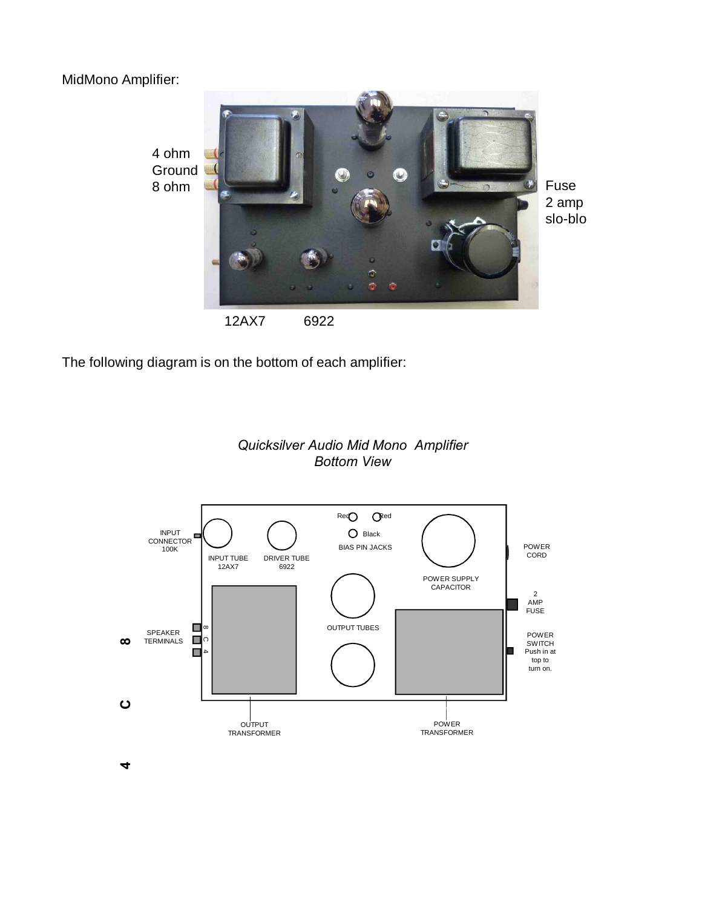MidMono Amplifier:



The following diagram is on the bottom of each amplifier:





 $\blacktriangledown$